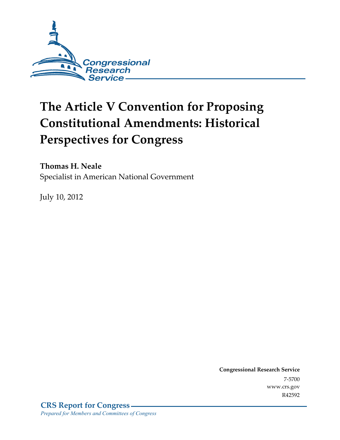

# **The Article V Convention for Proposing Constitutional Amendments: Historical Perspectives for Congress**

**Thomas H. Neale** 

Specialist in American National Government

July 10, 2012

**Congressional Research Service**  7-5700 www.crs.gov R42592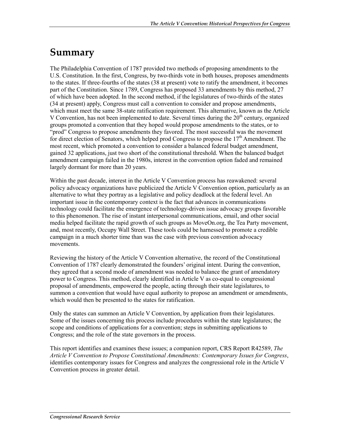## **Summary**

The Philadelphia Convention of 1787 provided two methods of proposing amendments to the U.S. Constitution. In the first, Congress, by two-thirds vote in both houses, proposes amendments to the states. If three-fourths of the states (38 at present) vote to ratify the amendment, it becomes part of the Constitution. Since 1789, Congress has proposed 33 amendments by this method, 27 of which have been adopted. In the second method, if the legislatures of two-thirds of the states (34 at present) apply, Congress must call a convention to consider and propose amendments, which must meet the same 38-state ratification requirement. This alternative, known as the Article V Convention, has not been implemented to date. Several times during the  $20<sup>th</sup>$  century, organized groups promoted a convention that they hoped would propose amendments to the states, or to "prod" Congress to propose amendments they favored. The most successful was the movement for direct election of Senators, which helped prod Congress to propose the  $17<sup>th</sup>$  Amendment. The most recent, which promoted a convention to consider a balanced federal budget amendment, gained 32 applications, just two short of the constitutional threshold. When the balanced budget amendment campaign failed in the 1980s, interest in the convention option faded and remained largely dormant for more than 20 years.

Within the past decade, interest in the Article V Convention process has reawakened: several policy advocacy organizations have publicized the Article V Convention option, particularly as an alternative to what they portray as a legislative and policy deadlock at the federal level. An important issue in the contemporary context is the fact that advances in communications technology could facilitate the emergence of technology-driven issue advocacy groups favorable to this phenomenon. The rise of instant interpersonal communications, email, and other social media helped facilitate the rapid growth of such groups as MoveOn.org, the Tea Party movement, and, most recently, Occupy Wall Street. These tools could be harnessed to promote a credible campaign in a much shorter time than was the case with previous convention advocacy movements.

Reviewing the history of the Article V Convention alternative, the record of the Constitutional Convention of 1787 clearly demonstrated the founders' original intent. During the convention, they agreed that a second mode of amendment was needed to balance the grant of amendatory power to Congress. This method, clearly identified in Article V as co-equal to congressional proposal of amendments, empowered the people, acting through their state legislatures, to summon a convention that would have equal authority to propose an amendment or amendments, which would then be presented to the states for ratification.

Only the states can summon an Article V Convention, by application from their legislatures. Some of the issues concerning this process include procedures within the state legislatures; the scope and conditions of applications for a convention; steps in submitting applications to Congress; and the role of the state governors in the process.

This report identifies and examines these issues; a companion report, CRS Report R42589, *The Article V Convention to Propose Constitutional Amendments: Contemporary Issues for Congress*, identifies contemporary issues for Congress and analyzes the congressional role in the Article V Convention process in greater detail.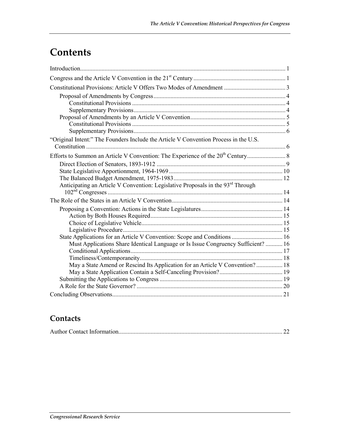## **Contents**

| "Original Intent:" The Founders Include the Article V Convention Process in the U.S. |  |
|--------------------------------------------------------------------------------------|--|
|                                                                                      |  |
|                                                                                      |  |
|                                                                                      |  |
|                                                                                      |  |
|                                                                                      |  |
| Anticipating an Article V Convention: Legislative Proposals in the 93rd Through      |  |
|                                                                                      |  |
|                                                                                      |  |
|                                                                                      |  |
|                                                                                      |  |
|                                                                                      |  |
|                                                                                      |  |
|                                                                                      |  |
| Must Applications Share Identical Language or Is Issue Congruency Sufficient?  16    |  |
|                                                                                      |  |
| May a State Amend or Rescind Its Application for an Article V Convention? 18         |  |
|                                                                                      |  |
|                                                                                      |  |
|                                                                                      |  |
|                                                                                      |  |

## **Contacts**

|--|--|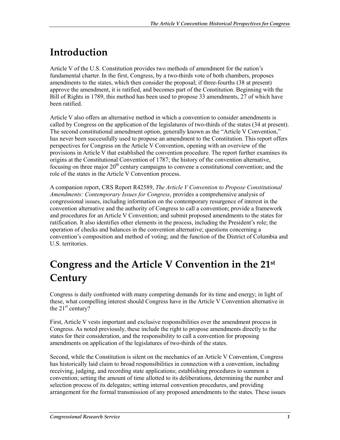## **Introduction**

Article V of the U.S. Constitution provides two methods of amendment for the nation's fundamental charter. In the first, Congress, by a two-thirds vote of both chambers, proposes amendments to the states, which then consider the proposal; if three-fourths (38 at present) approve the amendment, it is ratified, and becomes part of the Constitution. Beginning with the Bill of Rights in 1789, this method has been used to propose 33 amendments, 27 of which have been ratified.

Article V also offers an alternative method in which a convention to consider amendments is called by Congress on the application of the legislatures of two-thirds of the states (34 at present). The second constitutional amendment option, generally known as the "Article V Convention," has never been successfully used to propose an amendment to the Constitution. This report offers perspectives for Congress on the Article V Convention, opening with an overview of the provisions in Article V that established the convention procedure. The report further examines its origins at the Constitutional Convention of 1787; the history of the convention alternative, focusing on three major  $20<sup>th</sup>$  century campaigns to convene a constitutional convention; and the role of the states in the Article V Convention process.

A companion report, CRS Report R42589, *The Article V Convention to Propose Constitutional Amendments: Contemporary Issues for Congress*, provides a comprehensive analysis of congressional issues, including information on the contemporary resurgence of interest in the convention alternative and the authority of Congress to call a convention; provide a framework and procedures for an Article V Convention; and submit proposed amendments to the states for ratification. It also identifies other elements in the process, including the President's role; the operation of checks and balances in the convention alternative; questions concerning a convention's composition and method of voting; and the function of the District of Columbia and U.S. territories.

## **Congress and the Article V Convention in the 21st Century**

Congress is daily confronted with many competing demands for its time and energy; in light of these, what compelling interest should Congress have in the Article V Convention alternative in the  $21<sup>st</sup>$  century?

First, Article V vests important and exclusive responsibilities over the amendment process in Congress. As noted previously, these include the right to propose amendments directly to the states for their consideration, and the responsibility to call a convention for proposing amendments on application of the legislatures of two-thirds of the states.

Second, while the Constitution is silent on the mechanics of an Article V Convention, Congress has historically laid claim to broad responsibilities in connection with a convention, including receiving, judging, and recording state applications; establishing procedures to summon a convention; setting the amount of time allotted to its deliberations, determining the number and selection process of its delegates; setting internal convention procedures, and providing arrangement for the formal transmission of any proposed amendments to the states. These issues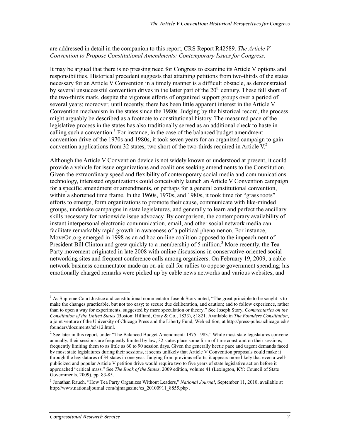are addressed in detail in the companion to this report, CRS Report R42589, *The Article V Convention to Propose Constitutional Amendments: Contemporary Issues for Congress*.

It may be argued that there is no pressing need for Congress to examine its Article V options and responsibilities. Historical precedent suggests that attaining petitions from two-thirds of the states necessary for an Article V Convention in a timely manner is a difficult obstacle, as demonstrated by several unsuccessful convention drives in the latter part of the  $20<sup>th</sup>$  century. These fell short of the two-thirds mark, despite the vigorous efforts of organized support groups over a period of several years; moreover, until recently, there has been little apparent interest in the Article V Convention mechanism in the states since the 1980s. Judging by the historical record, the process might arguably be described as a footnote to constitutional history. The measured pace of the legislative process in the states has also traditionally served as an additional check to haste in calling such a convention.<sup>1</sup> For instance, in the case of the balanced budget amendment convention drive of the 1970s and 1980s, it took seven years for an organized campaign to gain convention applications from 32 states, two short of the two-thirds required in Article  $V^2$ .

Although the Article V Convention device is not widely known or understood at present, it could provide a vehicle for issue organizations and coalitions seeking amendments to the Constitution. Given the extraordinary speed and flexibility of contemporary social media and communications technology, interested organizations could conceivably launch an Article V Convention campaign for a specific amendment or amendments, or perhaps for a general constitutional convention, within a shortened time frame. In the 1960s, 1970s, and 1980s, it took time for "grass roots" efforts to emerge, form organizations to promote their cause, communicate with like-minded groups, undertake campaigns in state legislatures, and generally to learn and perfect the ancillary skills necessary for nationwide issue advocacy. By comparison, the contemporary availability of instant interpersonal electronic communication, email, and other social network media can facilitate remarkably rapid growth in awareness of a political phenomenon. For instance, MoveOn.org emerged in 1998 as an ad hoc on-line coalition opposed to the impeachment of President Bill Clinton and grew quickly to a membership of 5 million.<sup>3</sup> More recently, the Tea Party movement originated in late 2008 with online discussions in conservative-oriented social networking sites and frequent conference calls among organizers. On February 19, 2009, a cable network business commentator made an on-air call for rallies to oppose government spending; his emotionally charged remarks were picked up by cable news networks and various websites, and

<u>.</u>

<sup>&</sup>lt;sup>1</sup> As Supreme Court Justice and constitutional commentator Joseph Story noted, "The great principle to be sought is to make the changes practicable, but not too easy; to secure due deliberation, and caution; and to follow experience, rather than to open a way for experiments, suggested by mere speculation or theory." See Joseph Story, *Commentaries on the Constitution of the United States* (Boston: Hilliard, Gray & Co., 1833), §1821. Available in *The Founders Constitution*, a joint venture of the University of Chicago Press and the Liberty Fund, Web edition, at http://press-pubs.uchicago.edu/ founders/documents/a5s12.html.

<sup>&</sup>lt;sup>2</sup> See later in this report, under "The Balanced Budget Amendment: 1975-1983." While most state legislatures convene annually, their sessions are frequently limited by law; 32 states place some form of time constraint on their sessions, frequently limiting them to as little as 60 to 90 session days. Given the generally hectic pace and urgent demands faced by most state legislatures during their sessions, it seems unlikely that Article V Convention proposals could make it through the legislatures of 34 states in one year. Judging from previous efforts, it appears more likely that even a wellpublicized and popular Article V petition drive would require two to five years of state legislative action before it approached "critical mass." See *The Book of the States*, 2009 edition, volume 41 (Lexington, KY: Council of State Governments, 2009), pp. 83-85.

<sup>3</sup> Jonathan Rauch, "How Tea Party Organizes Without Leaders," *National Journal*, September 11, 2010, available at http://www.nationaljournal.com/njmagazine/cs\_20100911\_8855.php .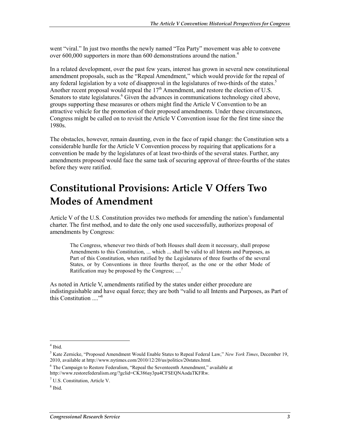went "viral." In just two months the newly named "Tea Party" movement was able to convene over 600,000 supporters in more than 600 demonstrations around the nation.<sup>4</sup>

In a related development, over the past few years, interest has grown in several new constitutional amendment proposals, such as the "Repeal Amendment," which would provide for the repeal of any federal legislation by a vote of disapproval in the legislatures of two-thirds of the states.<sup>5</sup> Another recent proposal would repeal the 17<sup>th</sup> Amendment, and restore the election of U.S. Senators to state legislatures.<sup>6</sup> Given the advances in communications technology cited above, groups supporting these measures or others might find the Article V Convention to be an attractive vehicle for the promotion of their proposed amendments. Under these circumstances, Congress might be called on to revisit the Article V Convention issue for the first time since the 1980s.

The obstacles, however, remain daunting, even in the face of rapid change: the Constitution sets a considerable hurdle for the Article V Convention process by requiring that applications for a convention be made by the legislatures of at least two-thirds of the several states. Further, any amendments proposed would face the same task of securing approval of three-fourths of the states before they were ratified.

## **Constitutional Provisions: Article V Offers Two Modes of Amendment**

Article V of the U.S. Constitution provides two methods for amending the nation's fundamental charter. The first method, and to date the only one used successfully, authorizes proposal of amendments by Congress:

The Congress, whenever two thirds of both Houses shall deem it necessary, shall propose Amendments to this Constitution, ... which ... shall be valid to all Intents and Purposes, as Part of this Constitution, when ratified by the Legislatures of three fourths of the several States, or by Conventions in three fourths thereof, as the one or the other Mode of Ratification may be proposed by the Congress; ....<sup>7</sup>

As noted in Article V, amendments ratified by the states under either procedure are indistinguishable and have equal force; they are both "valid to all Intents and Purposes, as Part of this Constitution  $^{38}$ 

 $4$  Ibid.

<sup>5</sup> Kate Zernicke, "Proposed Amendment Would Enable States to Repeal Federal Law," *New York Times*, December 19, 2010, available at http://www.nytimes.com/2010/12/20/us/politics/20states.html.

<sup>&</sup>lt;sup>6</sup> The Campaign to Restore Federalism, "Repeal the Seventeenth Amendment," available at http://www.restorefederalism.org/?gclid=CK386ay3pa4CFSEQNAodaTKFRw.

<sup>7</sup> U.S. Constitution, Article V.

<sup>8</sup> Ibid.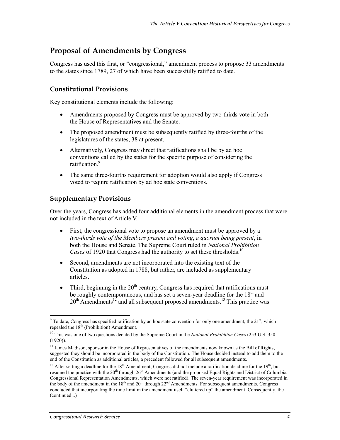### **Proposal of Amendments by Congress**

Congress has used this first, or "congressional," amendment process to propose 33 amendments to the states since 1789, 27 of which have been successfully ratified to date.

#### **Constitutional Provisions**

Key constitutional elements include the following:

- Amendments proposed by Congress must be approved by two-thirds vote in both the House of Representatives and the Senate.
- The proposed amendment must be subsequently ratified by three-fourths of the legislatures of the states, 38 at present.
- Alternatively, Congress may direct that ratifications shall be by ad hoc conventions called by the states for the specific purpose of considering the ratification<sup>9</sup>
- The same three-fourths requirement for adoption would also apply if Congress voted to require ratification by ad hoc state conventions.

#### **Supplementary Provisions**

Over the years, Congress has added four additional elements in the amendment process that were not included in the text of Article V.

- First, the congressional vote to propose an amendment must be approved by a *two-thirds vote of the Members present and voting*, *a quorum being present*, in both the House and Senate. The Supreme Court ruled in *National Prohibition Cases* of 1920 that Congress had the authority to set these thresholds.<sup>10</sup>
- Second, amendments are not incorporated into the existing text of the Constitution as adopted in 1788, but rather, are included as supplementary articles $^{11}$
- Third, beginning in the  $20<sup>th</sup>$  century, Congress has required that ratifications must be roughly contemporaneous, and has set a seven-year deadline for the  $18<sup>th</sup>$  and  $20<sup>th</sup>$  Amendments<sup>12</sup> and all subsequent proposed amendments.<sup>13</sup> This practice was

<sup>1</sup>  $9^9$  To date, Congress has specified ratification by ad hoc state convention for only one amendment, the 21<sup>st</sup>, which repealed the  $18<sup>th</sup>$  (Prohibition) Amendment.

<sup>10</sup> This was one of two questions decided by the Supreme Court in the *National Prohibition Cases* (253 U.S. 350 (1920)).

<sup>&</sup>lt;sup>11</sup> James Madison, sponsor in the House of Representatives of the amendments now known as the Bill of Rights, suggested they should be incorporated in the body of the Constitution. The House decided instead to add them to the end of the Constitution as additional articles, a precedent followed for all subsequent amendments.

<sup>&</sup>lt;sup>12</sup> After setting a deadline for the 18<sup>th</sup> Amendment, Congress did not include a ratification deadline for the 19<sup>th</sup>, but resumed the practice with the 20<sup>th</sup> through 26<sup>th</sup> Amendments (and the proposed Equal Rights and District of Columbia Congressional Representation Amendments, which were not ratified). The seven-year requirement was incorporated in the body of the amendment in the  $18<sup>th</sup>$  and  $20<sup>th</sup>$  through  $22<sup>nd</sup>$  Amendments. For subsequent amendments, Congress concluded that incorporating the time limit in the amendment itself "cluttered up" the amendment. Consequently, the (continued...)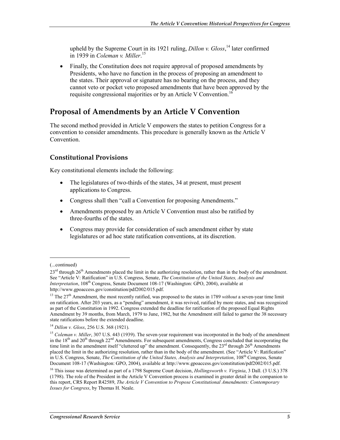upheld by the Supreme Court in its 1921 ruling, *Dillon v. Gloss*,<sup>14</sup> later confirmed in 1939 in *Coleman v. Miller*. 15

• Finally, the Constitution does not require approval of proposed amendments by Presidents, who have no function in the process of proposing an amendment to the states. Their approval or signature has no bearing on the process, and they cannot veto or pocket veto proposed amendments that have been approved by the requisite congressional majorities or by an Article V Convention.<sup>1</sup>

### **Proposal of Amendments by an Article V Convention**

The second method provided in Article V empowers the states to petition Congress for a convention to consider amendments. This procedure is generally known as the Article V **Convention** 

#### **Constitutional Provisions**

Key constitutional elements include the following:

- The legislatures of two-thirds of the states, 34 at present, must present applications to Congress.
- Congress shall then "call a Convention for proposing Amendments."
- Amendments proposed by an Article V Convention must also be ratified by three-fourths of the states.
- Congress may provide for consideration of such amendment either by state legislatures or ad hoc state ratification conventions, at its discretion.

<sup>(...</sup>continued)

<sup>23&</sup>lt;sup>rd</sup> through 26<sup>th</sup> Amendments placed the limit in the authorizing resolution, rather than in the body of the amendment. See "Article V: Ratification" in U.S. Congress, Senate, *The Constitution of the United States, Analysis and Interpretation*, 108th Congress, Senate Document 108-17 (Washington: GPO, 2004), available at http://www.gpoaccess.gov/constitution/pdf2002/015.pdf.

<sup>&</sup>lt;sup>13</sup> The  $27<sup>th</sup>$  Amendment, the most recently ratified, was proposed to the states in 1789 *without* a seven-year time limit on ratification. After 203 years, as a "pending" amendment, it was revived, ratified by more states, and was recognized as part of the Constitution in 1992. Congress extended the deadline for ratification of the proposed Equal Rights Amendment by 39 months, from March, 1979 to June, 1982, but the Amendment still failed to garner the 38 necessary state ratifications before the extended deadline.

<sup>14</sup> *Dillon v. Gloss*, 256 U.S. 368 (1921).

<sup>&</sup>lt;sup>15</sup> *Coleman v. Miller*, 307 U.S. 443 (1939). The seven-year requirement was incorporated in the body of the amendment in the 18<sup>th</sup> and 20<sup>th</sup> through 22<sup>nd</sup> Amendments. For subsequent amendments, Congress concluded that incorporating the time limit in the amendment itself "cluttered up" the amendment. Consequently, the 23<sup>rd</sup> through 26<sup>th</sup> Amendments placed the limit in the authorizing resolution, rather than in the body of the amendment. (See "Article V: Ratification" in U.S. Congress, Senate, *The Constitution of the United States, Analysis and Interpretation*, 108th Congress, Senate Document 108-17 (Washington: GPO, 2004), available at http://www.gpoaccess.gov/constitution/pdf2002/015.pdf.

<sup>16</sup> This issue was determined as part of a 1798 Supreme Court decision, *Hollingsworth v. Virginia*, 3 Dall. (3 U.S.) 378 (1798). The role of the President in the Article V Convention process is examined in greater detail in the companion to this report, CRS Report R42589, *The Article V Convention to Propose Constitutional Amendments: Contemporary Issues for Congress*, by Thomas H. Neale.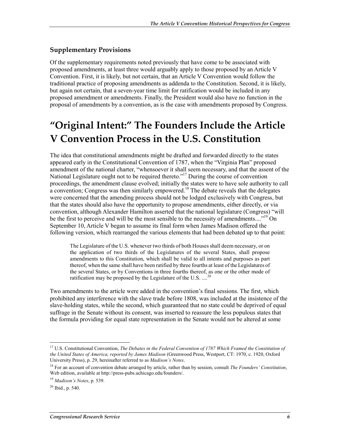#### **Supplementary Provisions**

Of the supplementary requirements noted previously that have come to be associated with proposed amendments, at least three would arguably apply to those proposed by an Article V Convention. First, it is likely, but not certain, that an Article V Convention would follow the traditional practice of proposing amendments as addenda to the Constitution. Second, it is likely, but again not certain, that a seven-year time limit for ratification would be included in any proposed amendment or amendments. Finally, the President would also have no function in the proposal of amendments by a convention, as is the case with amendments proposed by Congress.

## **"Original Intent:" The Founders Include the Article V Convention Process in the U.S. Constitution**

The idea that constitutional amendments might be drafted and forwarded directly to the states appeared early in the Constitutional Convention of 1787, when the "Virginia Plan" proposed amendment of the national charter, "whensoever it shall seem necessary, and that the assent of the National Legislature ought not to be required thereto."<sup>17</sup> During the course of convention proceedings, the amendment clause evolved; initially the states were to have sole authority to call  $\alpha$  convention; Congress was then similarly empowered.<sup>18</sup> The debate reveals that the delegates were concerned that the amending process should not be lodged exclusively with Congress, but that the states should also have the opportunity to propose amendments, either directly, or via convention, although Alexander Hamilton asserted that the national legislature (Congress) "will be the first to perceive and will be the most sensible to the necessity of amendments...."<sup>19</sup> On September 10, Article V began to assume its final form when James Madison offered the following version, which rearranged the various elements that had been debated up to that point:

The Legislature of the U.S. whenever two thirds of both Houses shall deem necessary, or on the application of two thirds of the Legislatures of the several States, shall propose amendments to this Constitution, which shall be valid to all intents and purposes as part thereof, when the same shall have been ratified by three fourths at least of the Legislatures of the several States, or by Conventions in three fourths thereof, as one or the other mode of ratification may be proposed by the Legislature of the U.S.  $\ldots$ <sup>2</sup>

Two amendments to the article were added in the convention's final sessions. The first, which prohibited any interference with the slave trade before 1808, was included at the insistence of the slave-holding states, while the second, which guaranteed that no state could be deprived of equal suffrage in the Senate without its consent, was inserted to reassure the less populous states that the formula providing for equal state representation in the Senate would not be altered at some

<sup>&</sup>lt;sup>17</sup> U.S. Constitutional Convention, *The Debates in the Federal Convention of 1787 Which Framed the Constitution of the United States of America, reported by James Madison* (Greenwood Press, Westport, CT: 1970, c. 1920, Oxford University Press), p. 29, hereinafter referred to as *Madison's Notes*.

<sup>18</sup> For an account of convention debate arranged by article, rather than by session, consult *The Founders' Constitution*, Web edition, available at http://press-pubs.uchicago.edu/founders/.

<sup>19</sup> *Madison's Notes*, p. 539.

 $^{20}$  Ibid., p. 540.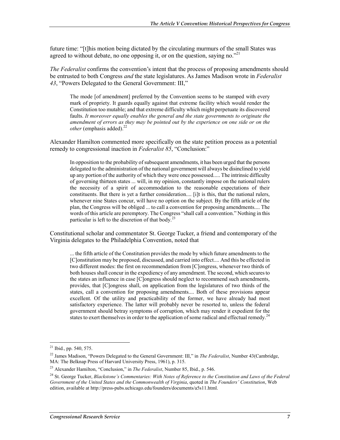future time: "[t]his motion being dictated by the circulating murmurs of the small States was agreed to without debate, no one opposing it, or on the question, saying no."<sup>21</sup>

*The Federalist* confirms the convention's intent that the process of proposing amendments should be entrusted to both Congress *and* the state legislatures. As James Madison wrote in *Federalist 43*, "Powers Delegated to the General Government: III,"

The mode [of amendment] preferred by the Convention seems to be stamped with every mark of propriety. It guards equally against that extreme facility which would render the Constitution too mutable; and that extreme difficulty which might perpetuate its discovered faults. *It moreover equally enables the general and the state governments to originate the amendment of errors as they may be pointed out by the experience on one side or on the other* (emphasis added).<sup>22</sup>

Alexander Hamilton commented more specifically on the state petition process as a potential remedy to congressional inaction in *Federalist 85*, "Conclusion:"

In opposition to the probability of subsequent amendments, it has been urged that the persons delegated to the administration of the national government will always be disinclined to yield up any portion of the authority of which they were once possessed..... The intrinsic difficulty of governing thirteen states ... will, in my opinion, constantly impose on the national rulers the necessity of a spirit of accommodation to the reasonable expectations of their constituents. But there is yet a further consideration.... [i]t is this, that the national rulers, whenever nine States concur, will have no option on the subject. By the fifth article of the plan, the Congress will be obliged ... to call a convention for proposing amendments.... The words of this article are peremptory. The Congress "shall call a convention." Nothing in this particular is left to the discretion of that body.<sup>23</sup>

Constitutional scholar and commentator St. George Tucker, a friend and contemporary of the Virginia delegates to the Philadelphia Convention, noted that

... the fifth article of the Constitution provides the mode by which future amendments to the [C]onstitution may be proposed, discussed, and carried into effect.... And this be effected in two different modes: the first on recommendation from [C]ongress, whenever two thirds of both houses shall concur in the expediency of any amendment. The second, which secures to the states an influence in case [C]ongress should neglect to recommend such amendments, provides, that [C]ongress shall, on application from the legislatures of two thirds of the states, call a convention for proposing amendments.... Both of these provisions appear excellent. Of the utility and practicability of the former, we have already had most satisfactory experience. The latter will probably never be resorted to, unless the federal government should betray symptoms of corruption, which may render it expedient for the states to exert themselves in order to the application of some radical and effectual remedy.<sup>24</sup>

 $^{21}$  Ibid., pp. 540, 575.

<sup>22</sup> James Madison, "Powers Delegated to the General Government: III," in *The Federalist*, Number 43(Cambridge, MA: The Belknap Press of Harvard University Press, 1961), p. 315.

<sup>23</sup> Alexander Hamilton, "Conclusion," in *The Federalist*, Number 85, Ibid., p. 546.

<sup>24</sup> St. George Tucker, *Blackstone's Commentaries: With Notes of Reference to the Constitution and Laws of the Federal Government of the United States and the Commonwealth of Virginia*, quoted in *The Founders' Constitution*, Web edition, available at http://press-pubs.uchicago.edu/founders/documents/a5s11.html.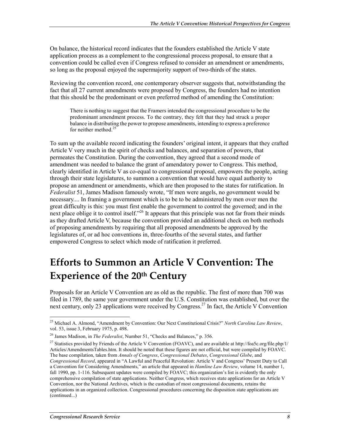On balance, the historical record indicates that the founders established the Article V state application process as a complement to the congressional process proposal, to ensure that a convention could be called even if Congress refused to consider an amendment or amendments, so long as the proposal enjoyed the supermajority support of two-thirds of the states.

Reviewing the convention record, one contemporary observer suggests that, notwithstanding the fact that all 27 current amendments were proposed by Congress, the founders had no intention that this should be the predominant or even preferred method of amending the Constitution:

There is nothing to suggest that the Framers intended the congressional procedure to be the predominant amendment process. To the contrary, they felt that they had struck a proper balance in distributing the power to propose amendments, intending to express a preference for neither method. $^{25}$ 

To sum up the available record indicating the founders' original intent, it appears that they crafted Article V very much in the spirit of checks and balances, and separation of powers, that permeates the Constitution. During the convention, they agreed that a second mode of amendment was needed to balance the grant of amendatory power to Congress. This method, clearly identified in Article V as co-equal to congressional proposal, empowers the people, acting through their state legislatures, to summon a convention that would have equal authority to propose an amendment or amendments, which are then proposed to the states for ratification. In *Federalist* 51, James Madison famously wrote, "If men were angels, no government would be necessary.... In framing a government which is to be to be administered by men over men the great difficulty is this: you must first enable the government to control the governed; and in the next place oblige it to control itself."<sup>26</sup> It appears that this principle was not far from their minds as they drafted Article V, because the convention provided an additional check on both methods of proposing amendments by requiring that all proposed amendments be approved by the legislatures of, or ad hoc conventions in, three-fourths of the several states, and further empowered Congress to select which mode of ratification it preferred.

## **Efforts to Summon an Article V Convention: The Experience of the 20th Century**

Proposals for an Article V Convention are as old as the republic. The first of more than 700 was filed in 1789, the same year government under the U.S. Constitution was established, but over the next century, only 23 applications were received by Congress.<sup>27</sup> In fact, the Article V Convention

<sup>25</sup> Michael A. Almond, "Amendment by Convention: Our Next Constitutional Crisis?" *North Carolina Law Review*, vol. 53, issue 3, February 1975, p. 498.

<sup>26</sup> James Madison, in *The Federalist*, Number 51, "Checks and Balances," p. 356.

<sup>&</sup>lt;sup>27</sup> Statistics provided by Friends of the Article V Convention (FOAVC), and are available at http://foa5c.org/file.php/1/ Articles/AmendmentsTables.htm. It should be noted that these figures are not official, but were compiled by FOAVC. The base compilation, taken from *Annals of Congress*, *Congressional Debates*, *Congressional Globe*, and *Congressional Record*, appeared in "A Lawful and Peaceful Revolution: Article V and Congress' Present Duty to Call a Convention for Considering Amendments," an article that appeared in *Hamline Law Review*, volume 14, number 1, fall 1990, pp. 1-116. Subsequent updates were compiled by FOAVC; this organization's list is evidently the only comprehensive compilation of state applications. Neither Congress, which receives state applications for an Article V Convention, nor the National Archives, which is the custodian of most congressional documents, retains the applications in an organized collection. Congressional procedures concerning the disposition state applications are (continued...)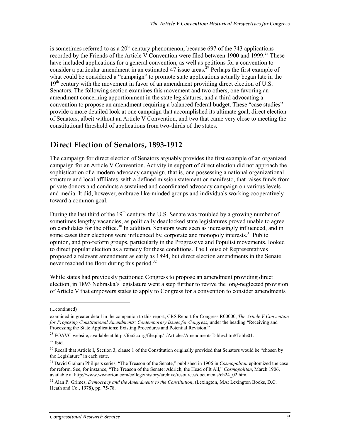is sometimes referred to as a  $20<sup>th</sup>$  century phenomenon, because 697 of the 743 applications recorded by the Friends of the Article V Convention were filed between 1900 and 1999.<sup>28</sup> These have included applications for a general convention, as well as petitions for a convention to consider a particular amendment in an estimated 47 issue areas.<sup>29</sup> Perhaps the first example of what could be considered a "campaign" to promote state applications actually began late in the  $19<sup>th</sup>$  century with the movement in favor of an amendment providing direct election of U.S. Senators. The following section examines this movement and two others, one favoring an amendment concerning apportionment in the state legislatures, and a third advocating a convention to propose an amendment requiring a balanced federal budget. These "case studies" provide a more detailed look at one campaign that accomplished its ultimate goal, direct election of Senators, albeit without an Article V Convention, and two that came very close to meeting the constitutional threshold of applications from two-thirds of the states.

### **Direct Election of Senators, 1893-1912**

The campaign for direct election of Senators arguably provides the first example of an organized campaign for an Article V Convention. Activity in support of direct election did not approach the sophistication of a modern advocacy campaign, that is, one possessing a national organizational structure and local affiliates, with a defined mission statement or manifesto, that raises funds from private donors and conducts a sustained and coordinated advocacy campaign on various levels and media. It did, however, embrace like-minded groups and individuals working cooperatively toward a common goal.

During the last third of the  $19<sup>th</sup>$  century, the U.S. Senate was troubled by a growing number of sometimes lengthy vacancies, as politically deadlocked state legislatures proved unable to agree on candidates for the office.<sup>30</sup> In addition, Senators were seen as increasingly influenced, and in some cases their elections were influenced by, corporate and monopoly interests.<sup>31</sup> Public opinion, and pro-reform groups, particularly in the Progressive and Populist movements, looked to direct popular election as a remedy for these conditions. The House of Representatives proposed a relevant amendment as early as 1894, but direct election amendments in the Senate never reached the floor during this period. $32$ 

While states had previously petitioned Congress to propose an amendment providing direct election, in 1893 Nebraska's legislature went a step further to revive the long-neglected provision of Article V that empowers states to apply to Congress for a convention to consider amendments

<sup>(...</sup>continued)

examined in greater detail in the companion to this report, CRS Report for Congress R00000, *The Article V Convention for Proposing Constitutional Amendments: Contemporary Issues for Congress*, under the heading "Receiving and Processing the State Applications: Existing Procedures and Potential Revision."

<sup>&</sup>lt;sup>28</sup> FOAVC website, available at http://foa5c.org/file.php/1/Articles/AmendmentsTables.htm#Table01.

 $29$  Ibid.

<sup>&</sup>lt;sup>30</sup> Recall that Article I, Section 3, clause 1 of the Constitution originally provided that Senators would be "chosen by the Legislature" in each state.

<sup>31</sup> David Graham Philips's series, "The Treason of the Senate," published in 1906 in *Cosmopolitan* epitomized the case for reform. See, for instance, "The Treason of the Senate: Aldrich, the Head of It All," *Cosmopolitan*, March 1906, available at http://www.wwnorton.com/college/history/archive/resources/documents/ch24\_02.htm.

<sup>&</sup>lt;sup>32</sup> Alan P. Grimes, *Democracy and the Amendments to the Constitution*, (Lexington, MA: Lexington Books, D.C. Heath and Co., 1978), pp. 75-78.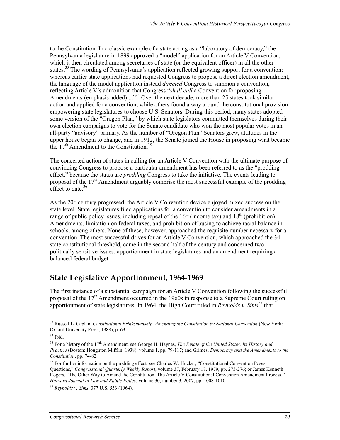to the Constitution. In a classic example of a state acting as a "laboratory of democracy," the Pennsylvania legislature in 1899 approved a "model" application for an Article V Convention, which it then circulated among secretaries of state (or the equivalent officer) in all the other states.<sup>33</sup> The wording of Pennsylvania's application reflected growing support for a convention: whereas earlier state applications had requested Congress to propose a direct election amendment, the language of the model application instead *directed* Congress to summon a convention, reflecting Article V's admonition that Congress "*shall call* a Convention for proposing Amendments (emphasis added)...."<sup>34</sup> Over the next decade, more than 25 states took similar action and applied for a convention, while others found a way around the constitutional provision empowering state legislatures to choose U.S. Senators. During this period, many states adopted some version of the "Oregon Plan," by which state legislators committed themselves during their own election campaigns to vote for the Senate candidate who won the most popular votes in an all-party "advisory" primary. As the number of "Oregon Plan" Senators grew, attitudes in the upper house began to change, and in 1912, the Senate joined the House in proposing what became the  $17<sup>th</sup>$  Amendment to the Constitution.<sup>35</sup>

The concerted action of states in calling for an Article V Convention with the ultimate purpose of convincing Congress to propose a particular amendment has been referred to as the "prodding effect," because the states are *prodding* Congress to take the initiative. The events leading to proposal of the  $17<sup>th</sup>$  Amendment arguably comprise the most successful example of the prodding effect to date. $36$ 

As the  $20<sup>th</sup>$  century progressed, the Article V Convention device enjoyed mixed success on the state level. State legislatures filed applications for a convention to consider amendments in a range of public policy issues, including repeal of the  $16<sup>th</sup>$  (income tax) and  $18<sup>th</sup>$  (prohibition) Amendments, limitation on federal taxes, and prohibition of busing to achieve racial balance in schools, among others. None of these, however, approached the requisite number necessary for a convention. The most successful drives for an Article V Convention, which approached the 34 state constitutional threshold, came in the second half of the century and concerned two politically sensitive issues: apportionment in state legislatures and an amendment requiring a balanced federal budget.

### **State Legislative Apportionment, 1964-1969**

The first instance of a substantial campaign for an Article V Convention following the successful proposal of the  $17<sup>th</sup>$  Amendment occurred in the 1960s in response to a Supreme Court ruling on apportionment of state legislatures. In 1964, the High Court ruled in *Reynolds v. Sims*37 that

<u>.</u>

<sup>33</sup> Russell L. Caplan, *Constitutional Brinksmanship, Amending the Constitution by National Convention* (New York: Oxford University Press, 1988), p. 63.

 $34$  Ibid.

<sup>&</sup>lt;sup>35</sup> For a history of the 17<sup>th</sup> Amendment, see George H. Haynes, *The Senate of the United States, Its History and Practice* (Boston: Houghton Mifflin, 1938), volume 1, pp. 79-117; and Grimes, *Democracy and the Amendments to the Constitution*, pp. 74-82.

<sup>&</sup>lt;sup>36</sup> For further information on the prodding effect, see Charles W. Hucker, "Constitutional Convention Poses" Questions," *Congressional Quarterly Weekly Report*, volume 37, February 17, 1979, pp. 273-276; or James Kenneth Rogers, "The Other Way to Amend the Constitution: The Article V Constitutional Convention Amendment Process," *Harvard Journal of Law and Public Policy*, volume 30, number 3, 2007, pp. 1008-1010.

<sup>37</sup> *Reynolds v. Sims*, 377 U.S. 533 (1964).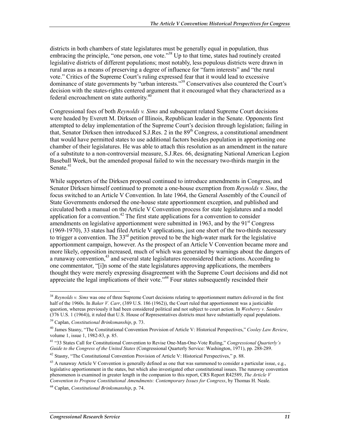districts in both chambers of state legislatures must be generally equal in population, thus embracing the principle, "one person, one vote."<sup>38</sup> Up to that time, states had routinely created legislative districts of different populations; most notably, less populous districts were drawn in rural areas as a means of preserving a degree of influence for "farm interests" and "the rural vote." Critics of the Supreme Court's ruling expressed fear that it would lead to excessive dominance of state governments by "urban interests."<sup>39</sup> Conservatives also countered the Court's decision with the states-rights centered argument that it encouraged what they characterized as a federal encroachment on state authority.<sup>40</sup>

Congressional foes of both *Reynolds v. Sims* and subsequent related Supreme Court decisions were headed by Everett M. Dirksen of Illinois, Republican leader in the Senate. Opponents first attempted to delay implementation of the Supreme Court's decision through legislation; failing in that, Senator Dirksen then introduced S.J.Res. 2 in the 89<sup>th</sup> Congress, a constitutional amendment that would have permitted states to use additional factors besides population in apportioning one chamber of their legislatures. He was able to attach this resolution as an amendment in the nature of a substitute to a non-controversial measure, S.J.Res. 66, designating National American Legion Baseball Week, but the amended proposal failed to win the necessary two-thirds margin in the Senate  $41$ 

While supporters of the Dirksen proposal continued to introduce amendments in Congress, and Senator Dirksen himself continued to promote a one-house exemption from *Reynolds v. Sims*, the focus switched to an Article V Convention. In late 1964, the General Assembly of the Council of State Governments endorsed the one-house state apportionment exception, and published and circulated both a manual on the Article V Convention process for state legislatures and a model application for a convention.<sup>42</sup> The first state applications for a convention to consider amendments on legislative apportionment were submitted in 1963, and by the 91<sup>st</sup> Congress (1969-1970), 33 states had filed Article V applications, just one short of the two-thirds necessary to trigger a convention. The  $33<sup>rd</sup>$  petition proved to be the high-water mark for the legislative apportionment campaign, however. As the prospect of an Article V Convention became more and more likely, opposition increased, much of which was generated by warnings about the dangers of a runaway convention,<sup>43</sup> and several state legislatures reconsidered their actions. According to one commentator, "[i]n some of the state legislatures approving applications, the members thought they were merely expressing disagreement with the Supreme Court decisions and did not appreciate the legal implications of their vote."<sup>44</sup> Four states subsequently rescinded their

<sup>38</sup> *Reynolds v. Sims* was one of three Supreme Court decisions relating to apportionment matters delivered in the first half of the 1960s. In *Baker V. Carr*, (389 U.S. 186 (1962)), the Court ruled that apportionment was a justiciable question, whereas previously it had been considered political and not subject to court action. In *Wesberry v. Sanders* (376 U.S. 1 (1964)), it ruled that U.S. House of Representatives districts must have substantially equal populations.

<sup>39</sup> Caplan, *Constitutional Brinksmanship*, p. 73.

<sup>40</sup> James Stasny, "The Constitutional Convention Provision of Article V: Historical Perspectives," *Cooley Law Review*, volume 1, issue 1, 1982-83, p. 85.

<sup>41 &</sup>quot;33 States Call for Constitutional Convention to Revise One-Man-One-Vote Ruling," *Congressional Quarterly's Guide to the Congress of the United States* (Congressional Quarterly Service: Washington, 1971), pp. 288-289.

<sup>42</sup> Stasny, "The Constitutional Convention Provision of Article V: Historical Perspectives," p. 88.

 $43$  A runaway Article V Convention is generally defined as one that was summoned to consider a particular issue, e.g., legislative apportionment in the states, but which also investigated other constitutional issues. The runaway convention phenomenon is examined in greater length in the companion to this report, CRS Report R42589, *The Article V Convention to Propose Constitutional Amendments: Contemporary Issues for Congress*, by Thomas H. Neale.

<sup>44</sup> Caplan, *Constitutional Brinksmanship*, p. 74.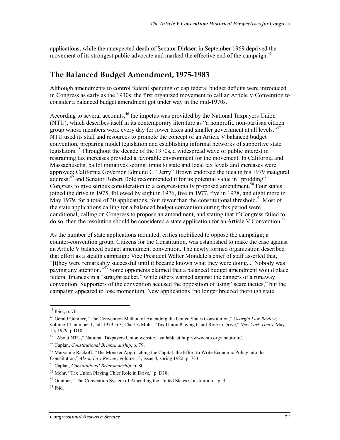applications, while the unexpected death of Senator Dirksen in September 1969 deprived the movement of its strongest public advocate and marked the effective end of the campaign.<sup>45</sup>

### **The Balanced Budget Amendment, 1975-1983**

Although amendments to control federal spending or cap federal budget deficits were introduced in Congress as early as the 1930s, the first organized movement to call an Article V Convention to consider a balanced budget amendment got under way in the mid-1970s.

According to several accounts,<sup>46</sup> the impetus was provided by the National Taxpayers Union (NTU), which describes itself in its contemporary literature as "a nonprofit, non-partisan citizen group whose members work every day for lower taxes and smaller government at all levels."<sup>47</sup> NTU used its staff and resources to promote the concept of an Article V balanced budget convention, preparing model legislation and establishing informal networks of supportive state legislators.48 Throughout the decade of the 1970s, a widespread wave of public interest in restraining tax increases provided a favorable environment for the movement. In California and Massachusetts, ballot initiatives setting limits to state and local tax levels and increases were approved; California Governor Edmund G. "Jerry" Brown endorsed the idea in his 1979 inaugural address;<sup>49</sup> and Senator Robert Dole recommended it for its potential value in "prodding" Congress to give serious consideration to a congressionally proposed amendment.<sup>50</sup> Four states joined the drive in 1975, followed by eight in 1976, five in 1977, five in 1978, and eight more in May 1979, for a total of 30 applications, four fewer than the constitutional threshold.<sup>51</sup> Most of the state applications calling for a balanced budget convention during this period were conditional, calling on Congress to propose an amendment, and stating that if Congress failed to do so, then the resolution should be considered a state application for an Article V Convention.<sup>52</sup>

As the number of state applications mounted, critics mobilized to oppose the campaign; a counter-convention group, Citizens for the Constitution, was established to make the case against an Article V balanced budget amendment convention. The newly formed organization described that effort as a stealth campaign: Vice President Walter Mondale's chief of staff asserted that, "[t]hey were remarkably successful until it became known what they were doing.... Nobody was paying any attention."<sup>53</sup> Some opponents claimed that a balanced budget amendment would place federal finances in a "straight jacket," while others warned against the dangers of a runaway convention. Supporters of the convention accused the opposition of using "scare tactics," but the campaign appeared to lose momentum. New applications "no longer breezed thorough state

 $45$  Ibid., p. 76.

<sup>46</sup> Gerald Gunther, "The Convention Method of Amending the United States Constitution," *Georgia Law Review*, volume 14, number 1, fall 1979, p.3; Charles Mohr, "Tax Union Playing Chief Role in Drive," *New York Times*, May 15, 1979, p D18.

<sup>47 &</sup>quot;About NTU," National Taxpayers Union website, available at http://www.ntu.org/about-ntu/.

<sup>48</sup> Caplan, *Constitutional Brinksmanship*, p. 79.

<sup>&</sup>lt;sup>49</sup> Maryanne Rackoff, "The Monster Approaching the Capital: the Effort to Write Economic Policy into the Constitution," *Akron Law Review*, volume 15, issue 4, spring 1982, p. 733.

<sup>50</sup> Caplan, *Constitutional Brinksmanship*, p. 80.

<sup>51</sup> Mohr, "Tax Union Playing Chief Role in Drive," p. D18.

 $52$  Gunther, "The Convention System of Amending the United States Constitution," p. 3.

 $53$  Ibid.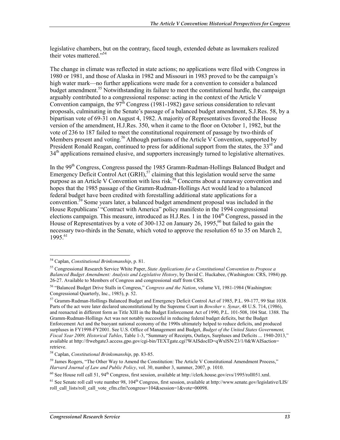legislative chambers, but on the contrary, faced tough, extended debate as lawmakers realized their votes mattered."<sup>54</sup>

The change in climate was reflected in state actions; no applications were filed with Congress in 1980 or 1981, and those of Alaska in 1982 and Missouri in 1983 proved to be the campaign's high water mark—no further applications were made for a convention to consider a balanced budget amendment.<sup>55</sup> Notwithstanding its failure to meet the constitutional hurdle, the campaign arguably contributed to a congressional response: acting in the context of the Article V Convention campaign, the  $97^{\text{th}}$  Congress (1981-1982) gave serious consideration to relevant proposals, culminating in the Senate's passage of a balanced budget amendment, S.J.Res. 58, by a bipartisan vote of 69-31 on August 4, 1982. A majority of Representatives favored the House version of the amendment, H.J.Res. 350, when it came to the floor on October 1, 1982, but the vote of 236 to 187 failed to meet the constitutional requirement of passage by two-thirds of Members present and voting.<sup>56</sup> Although partisans of the Article V Convention, supported by President Ronald Reagan, continued to press for additional support from the states, the 33<sup>rd</sup> and  $34<sup>th</sup>$  applications remained elusive, and supporters increasingly turned to legislative alternatives.

In the 99<sup>th</sup> Congress, Congress passed the 1985 Gramm-Rudman-Hollings Balanced Budget and Emergency Deficit Control Act  $(GRH)$ ,<sup>57</sup> claiming that this legislation would serve the same purpose as an Article V Convention with less risk.<sup>58</sup> Concerns about a runaway convention and hopes that the 1985 passage of the Gramm-Rudman-Hollings Act would lead to a balanced federal budget have been credited with forestalling additional state applications for a convention.59 Some years later, a balanced budget amendment proposal was included in the House Republicans' "Contract with America" policy manifesto in the 1994 congressional elections campaign. This measure, introduced as  $H.J.Res. 1$  in the  $104<sup>th</sup>$  Congress, passed in the House of Representatives by a vote of 300-132 on January 26, 1995,  $^{60}$  but failed to gain the necessary two-thirds in the Senate, which voted to approve the resolution 65 to 35 on March 2,  $1995.^{61}$ 

<u>.</u>

<sup>54</sup> Caplan, *Constitutional Brinksmanship*, p. 81.

<sup>55</sup> Congressional Research Service White Paper, *State Applications for a Constitutional Convention to Propose a Balanced Budget Amendment: Analysis and Legislative History*, by David C. Huckabee, (Washington: CRS, 1984) pp. 26-27. Available to Members of Congress and congressional staff from CRS.

<sup>56 &</sup>quot;Balanced Budget Drive Stalls in Congress," *Congress and the Nation*, volume VI, 1981-1984 (Washington: Congressional Quarterly, Inc., 1985), p. 52.

<sup>57</sup> Gramm-Rudman-Hollings Balanced Budget and Emergency Deficit Control Act of 1985, P.L. 99-177, 99 Stat 1038. Parts of the act were later declared unconstitutional by the Supreme Court in *Bowsher v. Synar*, 48 U.S. 714, (1986), and reenacted in different form as Title XIII in the Budget Enforcement Act of 1990, P.L. 101-508, 104 Stat. 1388. The Gramm-Rudman-Hollings Act was not notably successful in reducing federal budget deficits, but the Budget Enforcement Act and the buoyant national economy of the 1990s ultimately helped to reduce deficits, and produced surpluses in FY1998-FY2001. See U.S. Office of Management and Budget, *Budget of the United States Government, Fiscal Year 2009, Historical Tables*, Table 1-3, "Summary of Receipts, Outlays, Surpluses and Deficits ... 1940-2013," available at http://frwebgate3.access.gpo.gov/cgi-bin/TEXTgate.cgi?WAISdocID=qWxlSN/23/1/0&WAISaction= retrieve.

<sup>58</sup> Caplan, *Constitutional Brinksmanship*, pp. 83-85.

 $59$  James Rogers, "The Other Way to Amend the Constitution: The Article V Constitutional Amendment Process," *Harvard Journal of Law and Public Policy*, vol. 30, number 3, summer, 2007, p. 1010.

 $60$  See House roll call 51, 94<sup>th</sup> Congress, first session, available at http://clerk.house.gov/evs/1995/roll051.xml.

 $61$  See Senate roll call vote number 98,  $104<sup>th</sup>$  Congress, first session, available at http://www.senate.gov/legislative/LIS/ roll\_call\_lists/roll\_call\_vote\_cfm.cfm?congress=104&session=1&vote=00098.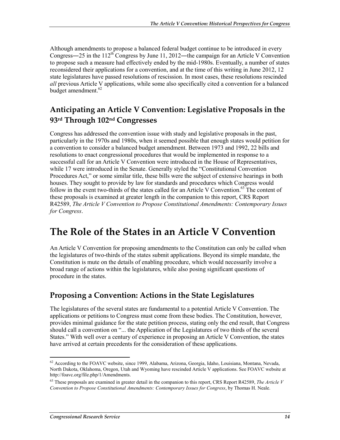Although amendments to propose a balanced federal budget continue to be introduced in every Congress—25 in the  $112^{th}$  Congress by June 11, 2012—the campaign for an Article V Convention to propose such a measure had effectively ended by the mid-1980s. Eventually, a number of states reconsidered their applications for a convention, and at the time of this writing in June 2012, 12 state legislatures have passed resolutions of rescission. In most cases, these resolutions rescinded *all* previous Article V applications, while some also specifically cited a convention for a balanced budget amendment.<sup>62</sup>

## **Anticipating an Article V Convention: Legislative Proposals in the 93rd Through 102nd Congresses**

Congress has addressed the convention issue with study and legislative proposals in the past, particularly in the 1970s and 1980s, when it seemed possible that enough states would petition for a convention to consider a balanced budget amendment. Between 1973 and 1992, 22 bills and resolutions to enact congressional procedures that would be implemented in response to a successful call for an Article V Convention were introduced in the House of Representatives, while 17 were introduced in the Senate. Generally styled the "Constitutional Convention Procedures Act," or some similar title, these bills were the subject of extensive hearings in both houses. They sought to provide by law for standards and procedures which Congress would follow in the event two-thirds of the states called for an Article V Convention.<sup>63</sup> The content of these proposals is examined at greater length in the companion to this report, CRS Report R42589, *The Article V Convention to Propose Constitutional Amendments: Contemporary Issues for Congress*.

## **The Role of the States in an Article V Convention**

An Article V Convention for proposing amendments to the Constitution can only be called when the legislatures of two-thirds of the states submit applications. Beyond its simple mandate, the Constitution is mute on the details of enabling procedure, which would necessarily involve a broad range of actions within the legislatures, while also posing significant questions of procedure in the states.

### **Proposing a Convention: Actions in the State Legislatures**

The legislatures of the several states are fundamental to a potential Article V Convention. The applications or petitions to Congress must come from these bodies. The Constitution, however, provides minimal guidance for the state petition process, stating only the end result, that Congress should call a convention on "... the Application of the Legislatures of two thirds of the several States." With well over a century of experience in proposing an Article V Convention, the states have arrived at certain precedents for the consideration of these applications.

<sup>&</sup>lt;sup>62</sup> According to the FOAVC website, since 1999, Alabama, Arizona, Georgia, Idaho, Louisiana, Montana, Nevada, North Dakota, Oklahoma, Oregon, Utah and Wyoming have rescinded Article V applications. See FOAVC website at http://foavc.org/file.php/1/Amendments.

<sup>63</sup> These proposals are examined in greater detail in the companion to this report, CRS Report R42589, *The Article V Convention to Propose Constitutional Amendments: Contemporary Issues for Congress*, by Thomas H. Neale.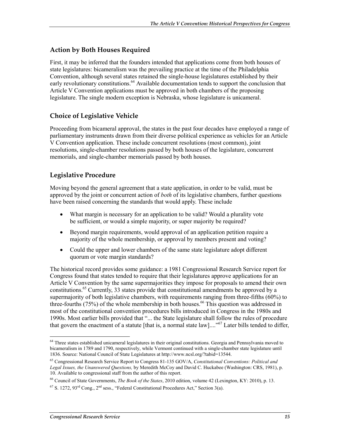#### **Action by Both Houses Required**

First, it may be inferred that the founders intended that applications come from both houses of state legislatures: bicameralism was the prevailing practice at the time of the Philadelphia Convention, although several states retained the single-house legislatures established by their early revolutionary constitutions.<sup>64</sup> Available documentation tends to support the conclusion that Article V Convention applications must be approved in both chambers of the proposing legislature. The single modern exception is Nebraska, whose legislature is unicameral.

#### **Choice of Legislative Vehicle**

Proceeding from bicameral approval, the states in the past four decades have employed a range of parliamentary instruments drawn from their diverse political experience as vehicles for an Article V Convention application. These include concurrent resolutions (most common), joint resolutions, single-chamber resolutions passed by both houses of the legislature, concurrent memorials, and single-chamber memorials passed by both houses.

#### **Legislative Procedure**

Moving beyond the general agreement that a state application, in order to be valid, must be approved by the joint or concurrent action of *both* of its legislative chambers, further questions have been raised concerning the standards that would apply. These include

- What margin is necessary for an application to be valid? Would a plurality vote be sufficient, or would a simple majority, or super majority be required?
- Beyond margin requirements, would approval of an application petition require a majority of the whole membership, or approval by members present and voting?
- Could the upper and lower chambers of the same state legislature adopt different quorum or vote margin standards?

The historical record provides some guidance: a 1981 Congressional Research Service report for Congress found that states tended to require that their legislatures approve applications for an Article V Convention by the same supermajorities they impose for proposals to amend their own constitutions.65 Currently, 33 states provide that constitutional amendments be approved by a supermajority of both legislative chambers, with requirements ranging from three-fifths (60%) to three-fourths (75%) of the whole membership in both houses.<sup>66</sup> This question was addressed in most of the constitutional convention procedures bills introduced in Congress in the 1980s and 1990s. Most earlier bills provided that "... the State legislature shall follow the rules of procedure that govern the enactment of a statute [that is, a normal state  $law] \ldots$ <sup>567</sup> Later bills tended to differ,

<sup>1</sup> <sup>64</sup> Three states established unicameral legislatures in their original constitutions. Georgia and Pennsylvania moved to bicameralism in 1789 and 1790, respectively, while Vermont continued with a single-chamber state legislature until 1836. Source: National Council of State Legislatures at http://www.ncsl.org/?tabid=13544.

<sup>65</sup> Congressional Research Service Report to Congress 81-135 GOV/A, *Constitutional Conventions: Political and Legal Issues, the Unanswered Questions,* by Meredith McCoy and David C. Huckabee (Washington: CRS, 1981), p. 10. Available to congressional staff from the author of this report.

<sup>66</sup> Council of State Governments, *The Book of the States*, 2010 edition, volume 42 (Lexington, KY: 2010), p. 13.

 $^{67}$  S. 1272, 93<sup>rd</sup> Cong., 2<sup>nd</sup> sess., "Federal Constitutional Procedures Act," Section 3(a).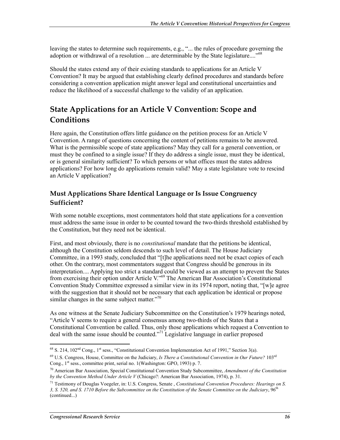leaving the states to determine such requirements, e.g., "... the rules of procedure governing the adoption or withdrawal of a resolution ... are determinable by the State legislature...."<sup>68</sup>

Should the states extend any of their existing standards to applications for an Article V Convention? It may be argued that establishing clearly defined procedures and standards before considering a convention application might answer legal and constitutional uncertainties and reduce the likelihood of a successful challenge to the validity of an application.

## **State Applications for an Article V Convention: Scope and Conditions**

Here again, the Constitution offers little guidance on the petition process for an Article V Convention. A range of questions concerning the content of petitions remains to be answered. What is the permissible scope of state applications? May they call for a general convention, or must they be confined to a single issue? If they do address a single issue, must they be identical, or is general similarity sufficient? To which persons or what offices must the states address applications? For how long do applications remain valid? May a state legislature vote to rescind an Article V application?

#### **Must Applications Share Identical Language or Is Issue Congruency Sufficient?**

With some notable exceptions, most commentators hold that state applications for a convention must address the same issue in order to be counted toward the two-thirds threshold established by the Constitution, but they need not be identical.

First, and most obviously, there is no *constitutional* mandate that the petitions be identical, although the Constitution seldom descends to such level of detail. The House Judiciary Committee, in a 1993 study, concluded that "[t]he applications need not be exact copies of each other. On the contrary, most commentators suggest that Congress should be generous in its interpretation.... Applying too strict a standard could be viewed as an attempt to prevent the States from exercising their option under Article V."69 The American Bar Association's Constitutional Convention Study Committee expressed a similar view in its 1974 report, noting that, "[w]e agree with the suggestion that it should not be necessary that each application be identical or propose similar changes in the same subject matter."<sup>70</sup>

As one witness at the Senate Judiciary Subcommittee on the Constitution's 1979 hearings noted, "Article V seems to require a general consensus among two-thirds of the States that a Constitutional Convention be called. Thus, only those applications which request a Convention to deal with the same issue should be counted."71 Legislative language in earlier proposed

 $^{68}$  S. 214, 102<sup>nd</sup> Cong., 1<sup>st</sup> sess., "Constitutional Convention Implementation Act of 1991," Section 3(a).

<sup>69</sup> U.S. Congress, House, Committee on the Judiciary, *Is There a Constitutional Convention in Our Future?* 103rd Cong., 1<sup>st</sup> sess., committee print, serial no. 1(Washington: GPO, 1993) p. 7.

<sup>70</sup> American Bar Association, Special Constitutional Convention Study Subcommittee, *Amendment of the Constitution by the Convention Method Under Article V* (Chicago?: American Bar Association, 1974), p. 31.

<sup>71</sup> Testimony of Douglas Voegeler, in: U.S. Congress, Senate , *Constitutional Convention Procedures: Hearings on S. 3, S. 520, and S. 1710 Before the Subcommittee on the Constitution of the Senate Committee on the Judiciary*, 96th (continued...)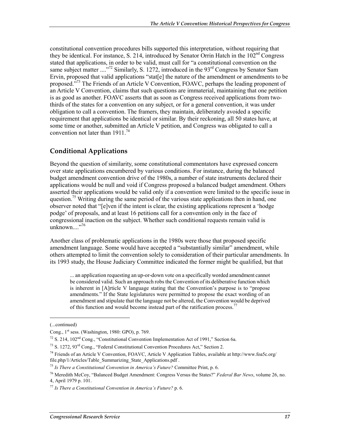constitutional convention procedures bills supported this interpretation, without requiring that they be identical. For instance, S. 214, introduced by Senator Orrin Hatch in the  $102<sup>nd</sup> Congress$ stated that applications, in order to be valid, must call for "a constitutional convention on the same subject matter  $\ldots$ <sup>72</sup> Similarly, S. 1272, introduced in the 93<sup>rd</sup> Congress by Senator Sam Ervin, proposed that valid applications "stat[e] the nature of the amendment or amendments to be proposed.<sup>573</sup> The Friends of an Article V Convention, FOAVC, perhaps the leading proponent of an Article V Convention, claims that such questions are immaterial, maintaining that one petition is as good as another. FOAVC asserts that as soon as Congress received applications from twothirds of the states for a convention on any subject, or for a general convention, it was under obligation to call a convention. The framers, they maintain, deliberately avoided a specific requirement that applications be identical or similar. By their reckoning, all 50 states have, at some time or another, submitted an Article V petition, and Congress was obligated to call a convention not later than  $1911^{74}$ 

#### **Conditional Applications**

Beyond the question of similarity, some constitutional commentators have expressed concern over state applications encumbered by various conditions. For instance, during the balanced budget amendment convention drive of the 1980s, a number of state instruments declared their applications would be null and void if Congress proposed a balanced budget amendment. Others asserted their applications would be valid only if a convention were limited to the specific issue in question.<sup>75</sup> Writing during the same period of the various state applications then in hand, one observer noted that "[e]ven if the intent is clear, the existing applications represent a 'hodge podge' of proposals, and at least 16 petitions call for a convention only in the face of congressional inaction on the subject. Whether such conditional requests remain valid is unknown $\ldots$ ...<sup>76</sup>

Another class of problematic applications in the 1980s were those that proposed specific amendment language. Some would have accepted a "substantially similar" amendment, while others attempted to limit the convention solely to consideration of their particular amendments. In its 1993 study, the House Judiciary Committee indicated the former might be qualified, but that

... an application requesting an up-or-down vote on a specifically worded amendment cannot be considered valid. Such an approach robs the Convention of its deliberative function which is inherent in [A]rticle V language stating that the Convention's purpose is to "propose amendments." If the State legislatures were permitted to propose the exact wording of an amendment and stipulate that the language not be altered, the Convention would be deprived of this function and would become instead part of the ratification process.<sup>77</sup>

<sup>(...</sup>continued)

Cong., 1<sup>st</sup> sess. (Washington, 1980: GPO), p. 769.

 $72$  S. 214, 102<sup>nd</sup> Cong., "Constitutional Convention Implementation Act of 1991," Section 6a.

 $^{73}$  S. 1272, 93<sup>rd</sup> Cong., "Federal Constitutional Convention Procedures Act." Section 2.

<sup>74</sup> Friends of an Article V Convention, FOAVC, Article V Application Tables, available at http://www.foa5c.org/ file.php/1/Articles/Table\_Summarizing\_State\_Applications.pdf .

<sup>75</sup> *Is There a Constitutional Convention in America's Future?* Committee Print, p. 6.

<sup>76</sup> Meredith McCoy, "Balanced Budget Amendment: Congress Versus the States?" *Federal Bar News*, volume 26, no. 4, April 1979 p. 101.

<sup>77</sup> *Is There a Constitutional Convention in America's Future?* p. 6.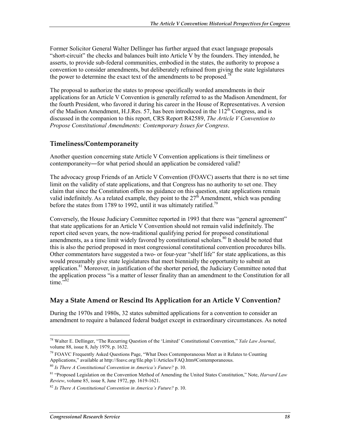Former Solicitor General Walter Dellinger has further argued that exact language proposals "short-circuit" the checks and balances built into Article V by the founders. They intended, he asserts, to provide sub-federal communities, embodied in the states, the authority to propose a convention to consider amendments, but deliberately refrained from giving the state legislatures the power to determine the exact text of the amendments to be proposed.<sup>78</sup>

The proposal to authorize the states to propose specifically worded amendments in their applications for an Article V Convention is generally referred to as the Madison Amendment, for the fourth President, who favored it during his career in the House of Representatives. A version of the Madison Amendment, H.J.Res. 57, has been introduced in the  $112<sup>th</sup>$  Congress, and is discussed in the companion to this report, CRS Report R42589, *The Article V Convention to Propose Constitutional Amendments: Contemporary Issues for Congress*.

#### **Timeliness/Contemporaneity**

Another question concerning state Article V Convention applications is their timeliness or contemporaneity―for what period should an application be considered valid?

The advocacy group Friends of an Article V Convention (FOAVC) asserts that there is no set time limit on the validity of state applications, and that Congress has no authority to set one. They claim that since the Constitution offers no guidance on this question, state applications remain valid indefinitely. As a related example, they point to the  $27<sup>th</sup>$  Amendment, which was pending before the states from 1789 to 1992, until it was ultimately ratified.<sup>79</sup>

Conversely, the House Judiciary Committee reported in 1993 that there was "general agreement" that state applications for an Article V Convention should not remain valid indefinitely. The report cited seven years, the now-traditional qualifying period for proposed constitutional amendments, as a time limit widely favored by constitutional scholars.<sup>80</sup> It should be noted that this is also the period proposed in most congressional constitutional convention procedures bills. Other commentators have suggested a two- or four-year "shelf life" for state applications, as this would presumably give state legislatures that meet biennially the opportunity to submit an application.<sup>81</sup> Moreover, in justification of the shorter period, the Judiciary Committee noted that the application process "is a matter of lesser finality than an amendment to the Constitution for all time. $\frac{1}{2}$ <sup>32</sup>

#### **May a State Amend or Rescind Its Application for an Article V Convention?**

During the 1970s and 1980s, 32 states submitted applications for a convention to consider an amendment to require a balanced federal budget except in extraordinary circumstances. As noted

<sup>78</sup> Walter E. Dellinger, "The Recurring Question of the 'Limited' Constitutional Convention," *Yale Law Journal*, volume 88, issue 8, July 1979, p. 1632.

 $79$  FOAVC Frequently Asked Questions Page, "What Does Contemporaneous Meet as it Relates to Counting Applications," available at http://foavc.org/file.php/1/Articles/FAQ.htm#Contemporaneous.

<sup>80</sup> *Is There A Constitutional Convention in America's Future?* p. 10.

<sup>81 &</sup>quot;Proposed Legislation on the Convention Method of Amending the United States Constitution," Note, *Harvard Law Review*, volume 85, issue 8, June 1972, pp. 1619-1621.

<sup>82</sup> *Is There A Constitutional Convention in America's Future?* p. 10.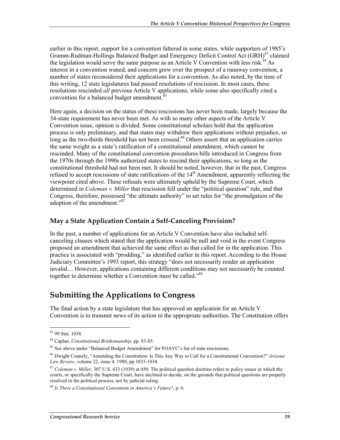earlier in this report, support for a convention faltered in some states, while supporters of 1985's Gramm-Rudman-Hollings Balanced Budget and Emergency Deficit Control Act (GRH)<sup>83</sup> claimed the legislation would serve the same purpose as an Article V Convention with less risk.<sup>84</sup> As interest in a convention waned, and concern grew over the prospect of a runaway convention, a number of states reconsidered their applications for a convention. As also noted, by the time of this writing, 12 state legislatures had passed resolutions of rescission. In most cases, these resolutions rescinded *all* previous Article V applications, while some also specifically cited a convention for a balanced budget amendment.<sup>85</sup>

Here again, a decision on the status of these rescissions has never been made, largely because the 34-state requirement has never been met. As with so many other aspects of the Article V Convention issue, opinion is divided. Some constitutional scholars hold that the application process is only preliminary, and that states may withdraw their applications without prejudice, so long as the two-thirds threshold has not been crossed.<sup>86</sup> Others assert that an application carries the same weight as a state's ratification of a constitutional amendment, which cannot be rescinded. Many of the constitutional convention procedures bills introduced in Congress from the 1970s through the 1990s authorized states to rescind their applications, so long as the constitutional threshold had not been met. It should be noted, however, that in the past, Congress refused to accept rescissions of state ratifications of the  $14<sup>th</sup>$  Amendment, apparently reflecting the viewpoint cited above. These refusals were ultimately upheld by the Supreme Court, which determined in *Coleman v. Miller* that rescission fell under the "political question" rule, and that Congress, therefore, possessed "the ultimate authority" to set rules for "the promulgation of the adoption of the amendment."<sup>87</sup>

#### **May a State Application Contain a Self-Canceling Provision?**

In the past, a number of applications for an Article V Convention have also included selfcanceling clauses which stated that the application would be null and void in the event Congress proposed an amendment that achieved the same effect as that called for in the application. This practice is associated with "prodding," as identified earlier in this report. According to the House Judiciary Committee's 1993 report, this strategy "does not necessarily render an application invalid.... However, applications containing different conditions may not necessarily be counted together to determine whether a Convention must be called."88

### **Submitting the Applications to Congress**

The final action by a state legislature that has approved an application for an Article V Convention is to transmit news of its action to the appropriate authorities. The Constitution offers

<sup>83 99</sup> Stat. 1038.

<sup>84</sup> Caplan, *Constitutional Brinksmanship,* pp. 83-85.

<sup>&</sup>lt;sup>85</sup> See above under "Balanced Budget Amendment" for FOAVC's list of state rescissions.

<sup>86</sup> Dwight Connely, "Amending the Constitution: Is This Any Way to Call for a Constitutional Convention?" *Arizona Law Review*, volume 22, issue 4, 1980, pp.1033-1034.

<sup>87</sup> *Coleman v. Miller*, 307 U.S. 433 (1939) at 450. The political question doctrine refers to policy issues in which the courts, or specifically the Supreme Court, have declined to decide, on the grounds that political questions are properly resolved in the political process, not by judicial ruling.

<sup>88</sup> *Is There a Constitutional Convention in America's Future?*, p. 6.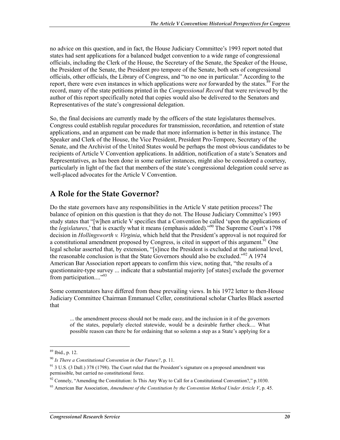no advice on this question, and in fact, the House Judiciary Committee's 1993 report noted that states had sent applications for a balanced budget convention to a wide range of congressional officials, including the Clerk of the House, the Secretary of the Senate, the Speaker of the House, the President of the Senate, the President pro tempore of the Senate, both sets of congressional officials, other officials, the Library of Congress, and "to no one in particular." According to the report, there were even instances in which applications were *not* forwarded by the states.<sup>89</sup> For the record, many of the state petitions printed in the *Congressional Record* that were reviewed by the author of this report specifically noted that copies would also be delivered to the Senators and Representatives of the state's congressional delegation.

So, the final decisions are currently made by the officers of the state legislatures themselves. Congress could establish regular procedures for transmission, recordation, and retention of state applications, and an argument can be made that more information is better in this instance. The Speaker and Clerk of the House, the Vice President, President Pro-Tempore, Secretary of the Senate, and the Archivist of the United States would be perhaps the most obvious candidates to be recipients of Article V Convention applications. In addition, notification of a state's Senators and Representatives, as has been done in some earlier instances, might also be considered a courtesy, particularly in light of the fact that members of the state's congressional delegation could serve as well-placed advocates for the Article V Convention.

### **A Role for the State Governor?**

Do the state governors have any responsibilities in the Article V state petition process? The balance of opinion on this question is that they do not. The House Judiciary Committee's 1993 study states that "[w]hen article V specifies that a Convention be called 'upon the applications of the *legislatures*,' that is exactly what it means (emphasis added)."90 The Supreme Court's 1798 decision in *Hollingsworth v. Virginia*, which held that the President's approval is not required for a constitutional amendment proposed by Congress, is cited in support of this argument.<sup>91</sup> One legal scholar asserted that, by extension, "[s]ince the President is excluded at the national level, the reasonable conclusion is that the State Governors should also be excluded."<sup>92</sup> A 1974 American Bar Association report appears to confirm this view, noting that, "the results of a questionnaire-type survey ... indicate that a substantial majority [of states] exclude the governor from participation...."<sup>93</sup>

Some commentators have differed from these prevailing views. In his 1972 letter to then-House Judiciary Committee Chairman Emmanuel Celler, constitutional scholar Charles Black asserted that

... the amendment process should not be made easy, and the inclusion in it of the governors of the states, popularly elected statewide, would be a desirable further check.... What possible reason can there be for ordaining that so solemn a step as a State's applying for a

<sup>89</sup> Ibid., p. 12.

<sup>90</sup> *Is There a Constitutional Convention in Our Future?*, p. 11.

<sup>&</sup>lt;sup>91</sup> 3 U.S. (3 Dall.) 378 (1798). The Court ruled that the President's signature on a proposed amendment was permissible, but carried no constitutional force.

 $92$  Connely, "Amending the Constitution: Is This Any Way to Call for a Constitutional Convention?," p.1030.

<sup>93</sup> American Bar Association, *Amendment of the Constitution by the Convention Method Under Article V*, p. 45.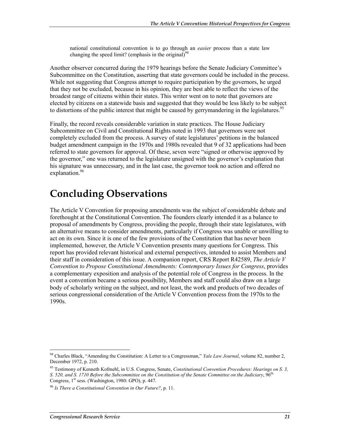national constitutional convention is to go through an *easier* process than a state law changing the speed limit? (emphasis in the original) $94$ 

Another observer concurred during the 1979 hearings before the Senate Judiciary Committee's Subcommittee on the Constitution, asserting that state governors could be included in the process. While not suggesting that Congress attempt to require participation by the governors, he urged that they not be excluded, because in his opinion, they are best able to reflect the views of the broadest range of citizens within their states. This writer went on to note that governors are elected by citizens on a statewide basis and suggested that they would be less likely to be subject to distortions of the public interest that might be caused by gerrymandering in the legislatures.<sup>95</sup>

Finally, the record reveals considerable variation in state practices. The House Judiciary Subcommittee on Civil and Constitutional Rights noted in 1993 that governors were not completely excluded from the process. A survey of state legislatures' petitions in the balanced budget amendment campaign in the 1970s and 1980s revealed that 9 of 32 applications had been referred to state governors for approval. Of these, seven were "signed or otherwise approved by the governor," one was returned to the legislature unsigned with the governor's explanation that his signature was unnecessary, and in the last case, the governor took no action and offered no explanation.<sup>96</sup>

## **Concluding Observations**

The Article V Convention for proposing amendments was the subject of considerable debate and forethought at the Constitutional Convention. The founders clearly intended it as a balance to proposal of amendments by Congress, providing the people, through their state legislatures, with an alternative means to consider amendments, particularly if Congress was unable or unwilling to act on its own. Since it is one of the few provisions of the Constitution that has never been implemented, however, the Article V Convention presents many questions for Congress. This report has provided relevant historical and external perspectives, intended to assist Members and their staff in consideration of this issue. A companion report, CRS Report R42589, *The Article V Convention to Propose Constitutional Amendments: Contemporary Issues for Congress*, provides a complementary exposition and analysis of the potential role of Congress in the process. In the event a convention became a serious possibility, Members and staff could also draw on a large body of scholarly writing on the subject, and not least, the work and products of two decades of serious congressional consideration of the Article V Convention process from the 1970s to the 1990s.

<sup>1</sup> 94 Charles Black, "Amending the Constitution: A Letter to a Congressman," *Yale Law Journal*, volume 82, number 2, December 1972, p. 210.

<sup>95</sup> Testimony of Kenneth Kofmehl, in U.S. Congress, Senate, *Constitutional Convention Procedures: Hearings on S. 3, S. 520, and S. 1710 Before the Subcommittee on the Constitution of the Senate Committee on the Judiciary*,  $96^{\circ}$ Congress,  $1<sup>st</sup>$  sess. (Washington, 1980: GPO), p. 447.

<sup>96</sup> *Is There a Constitutional Convention in Our Future?*, p. 11.